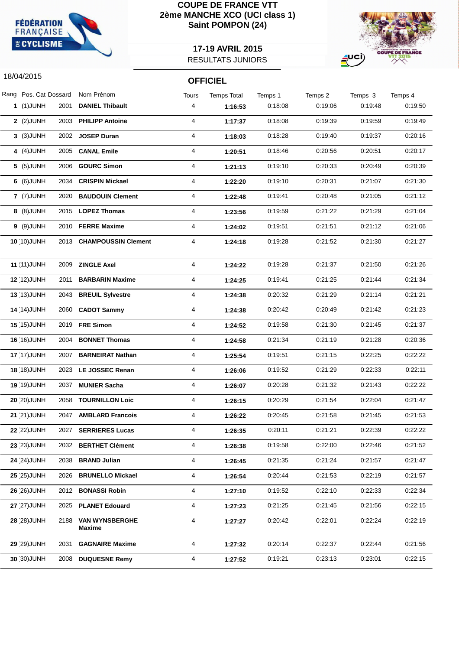

## **COUPE DE FRANCE VTT 2ème MANCHE XCO (UCI class 1) Saint POMPON (24)**



## **17-19 AVRIL 2015** RESULTATS JUNIORS

**OFFICIEL**

## 18/04/2015

| Rang Pos. Cat Dossard |      | Nom Prénom                             | Tours          | <b>Temps Total</b> | Temps 1 | Temps 2 | Temps 3 | Temps 4 |
|-----------------------|------|----------------------------------------|----------------|--------------------|---------|---------|---------|---------|
| $1$ (1) JUNH          | 2001 | <b>DANIEL Thibault</b>                 | 4              | 1:16:53            | 0:18:08 | 0:19:06 | 0.19:48 | 0:19:50 |
| $2$ (2) JUNH          | 2003 | <b>PHILIPP Antoine</b>                 | 4              | 1:17:37            | 0:18:08 | 0:19:39 | 0:19:59 | 0:19:49 |
| $3$ (3) JUNH          | 2002 | <b>JOSEP Duran</b>                     | 4              | 1:18:03            | 0:18:28 | 0.19:40 | 0:19:37 | 0:20:16 |
| 4 $(4)$ JUNH          | 2005 | <b>CANAL Emile</b>                     | 4              | 1:20:51            | 0:18:46 | 0:20:56 | 0:20:51 | 0:20:17 |
| $5$ (5) JUNH          | 2006 | <b>GOURC Simon</b>                     | 4              | 1:21:13            | 0:19:10 | 0:20:33 | 0:20:49 | 0:20:39 |
| $6$ (6) JUNH          | 2034 | <b>CRISPIN Mickael</b>                 | 4              | 1:22:20            | 0:19:10 | 0:20:31 | 0.21:07 | 0:21:30 |
| $7$ (7) JUNH          | 2020 | <b>BAUDOUIN Clement</b>                | 4              | 1:22:48            | 0:19:41 | 0.20:48 | 0.21:05 | 0.21:12 |
| $(8)$ JUNH            | 2015 | <b>LOPEZ Thomas</b>                    | 4              | 1:23:56            | 0:19:59 | 0.21:22 | 0:21:29 | 0:21:04 |
| 9 (9) JUNH            | 2010 | <b>FERRE Maxime</b>                    | 4              | 1:24:02            | 0:19:51 | 0.21:51 | 0.21:12 | 0:21:06 |
| 10 (10) JUNH          | 2013 | <b>CHAMPOUSSIN Clement</b>             | 4              | 1:24:18            | 0:19:28 | 0:21:52 | 0:21:30 | 0:21:27 |
| <b>11</b> (11) JUNH   | 2009 | <b>ZINGLE Axel</b>                     | 4              | 1:24:22            | 0:19:28 | 0:21:37 | 0.21:50 | 0:21:26 |
| 12 (12) JUNH          | 2011 | <b>BARBARIN Maxime</b>                 | 4              | 1:24:25            | 0:19:41 | 0.21:25 | 0.21:44 | 0:21:34 |
| <b>13 (13) JUNH</b>   | 2043 | <b>BREUIL Sylvestre</b>                | 4              | 1:24:38            | 0:20:32 | 0:21:29 | 0:21:14 | 0.21.21 |
| <b>14</b> (14) JUNH   | 2060 | <b>CADOT Sammy</b>                     | 4              | 1:24:38            | 0:20:42 | 0:20:49 | 0.21:42 | 0:21:23 |
| <b>15 (15) JUNH</b>   | 2019 | <b>FRE Simon</b>                       | 4              | 1:24:52            | 0:19:58 | 0:21:30 | 0:21:45 | 0:21:37 |
| <b>16 (16) JUNH</b>   | 2004 | <b>BONNET Thomas</b>                   | 4              | 1:24:58            | 0:21:34 | 0.21:19 | 0.21:28 | 0:20:36 |
| <b>17 (17) JUNH</b>   | 2007 | <b>BARNEIRAT Nathan</b>                | 4              | 1:25:54            | 0:19:51 | 0.21:15 | 0.22:25 | 0.22:22 |
| <b>18 (18) JUNH</b>   | 2023 | LE JOSSEC Renan                        | 4              | 1:26:06            | 0:19:52 | 0.21:29 | 0:22:33 | 0:22:11 |
| <b>19 (19) JUNH</b>   | 2037 | <b>MUNIER Sacha</b>                    | 4              | 1:26:07            | 0:20:28 | 0:21:32 | 0:21:43 | 0:22:22 |
| 20 (20) JUNH          |      | 2058 TOURNILLON Loic                   | 4              | 1:26:15            | 0:20:29 | 0.21:54 | 0.22:04 | 0:21:47 |
| <b>21 21 JUNH</b>     | 2047 | <b>AMBLARD Francois</b>                | 4              | 1:26:22            | 0:20:45 | 0:21:58 | 0:21:45 | 0:21:53 |
| 22 (22) JUNH          | 2027 | <b>SERRIERES Lucas</b>                 | 4              | 1:26:35            | 0:20:11 | 0.21:21 | 0:22:39 | 0.22:22 |
| 23 (23) JUNH          | 2032 | <b>BERTHET Clément</b>                 | 4              | 1:26:38            | 0:19:58 | 0.22:00 | 0.22:46 | 0:21:52 |
| 24 (24) JUNH          | 2038 | <b>BRAND Julian</b>                    | 4              | 1:26:45            | 0:21:35 | 0:21:24 | 0:21:57 | 0:21:47 |
| 25 (25) JUNH          | 2026 | <b>BRUNELLO Mickael</b>                | 4              | 1:26:54            | 0:20:44 | 0:21:53 | 0:22:19 | 0:21:57 |
| 26 (26) JUNH          | 2012 | <b>BONASSI Robin</b>                   | 4              | 1:27:10            | 0:19:52 | 0:22:10 | 0:22:33 | 0:22:34 |
| 27 (27) JUNH          | 2025 | <b>PLANET Edouard</b>                  | 4              | 1:27:23            | 0:21:25 | 0:21:45 | 0:21:56 | 0:22:15 |
| 28 (28) JUNH          | 2188 | <b>VAN WYNSBERGHE</b><br><b>Maxime</b> | 4              | 1:27:27            | 0:20:42 | 0:22:01 | 0.22:24 | 0:22:19 |
| 29 (29) JUNH          | 2031 | <b>GAGNAIRE Maxime</b>                 | $\overline{4}$ | 1:27:32            | 0:20:14 | 0:22:37 | 0.22:44 | 0:21:56 |
| 30 (30) JUNH          | 2008 | <b>DUQUESNE Remy</b>                   | 4              | 1:27:52            | 0:19:21 | 0:23:13 | 0:23:01 | 0.22:15 |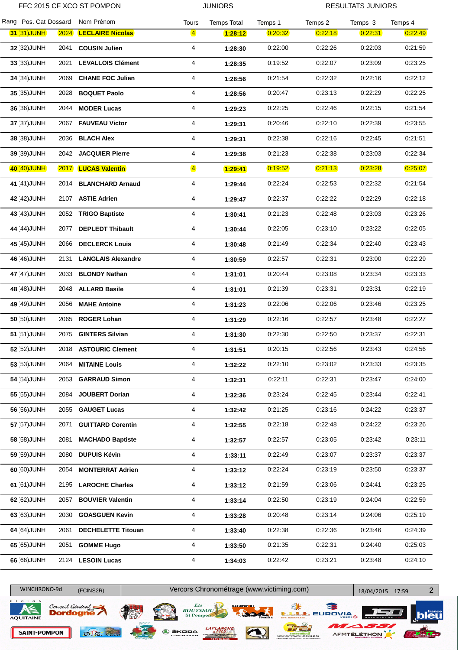| FFC 2015 CF XCO ST POMPON |      |                           | <b>JUNIORS</b> |                    |         | <b>RESULTATS JUNIORS</b> |         |         |
|---------------------------|------|---------------------------|----------------|--------------------|---------|--------------------------|---------|---------|
| Rang Pos. Cat Dossard     |      | Nom Prénom                | <b>Tours</b>   | <b>Temps Total</b> | Temps 1 | Temps 2                  | Temps 3 | Temps 4 |
| 31 31 JUNH                | 2024 | <b>LECLAIRE Nicolas</b>   | $\sqrt{4}$     | 1:28:12            | 0.20:32 | 0:22:18                  | 0:22:31 | 0:22:49 |
| 32 (32) JUNH              | 2041 | <b>COUSIN Julien</b>      | 4              | 1:28:30            | 0:22:00 | 0.22:26                  | 0.22:03 | 0.21:59 |
| 33 (33) JUNH              | 2021 | <b>LEVALLOIS Clément</b>  | 4              | 1:28:35            | 0:19:52 | 0:22:07                  | 0:23:09 | 0:23:25 |
| 34 (34) JUNH              | 2069 | <b>CHANE FOC Julien</b>   | 4              | 1:28:56            | 0.21:54 | 0:22:32                  | 0:22:16 | 0:22:12 |
| 35 (35) JUNH              | 2028 | <b>BOQUET Paolo</b>       | 4              | 1:28:56            | 0:20:47 | 0.23:13                  | 0.22:29 | 0:22:25 |
| 36 (36) JUNH              | 2044 | <b>MODER Lucas</b>        | 4              | 1:29:23            | 0:22:25 | 0:22:46                  | 0:22:15 | 0.21:54 |
| 37 (37) JUNH              | 2067 | <b>FAUVEAU Victor</b>     | 4              | 1:29:31            | 0:20:46 | 0:22:10                  | 0:22:39 | 0.23:55 |
| 38 (38) JUNH              | 2036 | <b>BLACH Alex</b>         | 4              | 1:29:31            | 0:22:38 | 0:22:16                  | 0:22:45 | 0:21:51 |
| 39 (39) JUNH              | 2042 | <b>JACQUIER Pierre</b>    | 4              | 1:29:38            | 0:21:23 | 0:22:38                  | 0:23:03 | 0:22:34 |
| 40 (40) JUNH              | 2017 | <b>LUCAS Valentin</b>     | $\overline{4}$ | 1:29:41            | 0.19.52 | 0.21:13                  | 0:23:28 | 0.25:07 |
| 41 (41) JUNH              | 2014 | <b>BLANCHARD Arnaud</b>   | 4              | 1:29:44            | 0:22:24 | 0:22:53                  | 0:22:32 | 0.21:54 |
| 42 (42) JUNH              | 2107 | <b>ASTIE Adrien</b>       | 4              | 1:29:47            | 0:22:37 | 0:22:22                  | 0:22:29 | 0:22:18 |
| 43 (43) JUNH              |      | 2052 TRIGO Baptiste       | 4              | 1:30:41            | 0:21:23 | 0:22:48                  | 0:23:03 | 0:23:26 |
| 44 (44) JUNH              | 2077 | <b>DEPLEDT Thibault</b>   | 4              | 1:30:44            | 0:22:05 | 0:23:10                  | 0:23:22 | 0.22:05 |
| 45 (45) JUNH              | 2066 | <b>DECLERCK Louis</b>     | 4              | 1:30:48            | 0.21:49 | 0:22:34                  | 0:22:40 | 0.23:43 |
| 46 (46) JUNH              | 2131 | <b>LANGLAIS Alexandre</b> | 4              | 1:30:59            | 0.22:57 | 0:22:31                  | 0:23:00 | 0.22:29 |
| 47 (47) JUNH              | 2033 | <b>BLONDY Nathan</b>      | 4              | 1:31:01            | 0:20:44 | 0:23:08                  | 0:23:34 | 0.23:33 |
| 48 (48) JUNH              | 2048 | <b>ALLARD Basile</b>      | 4              | 1:31:01            | 0:21:39 | 0:23:31                  | 0:23:31 | 0:22:19 |
| 49 (49) JUNH              | 2056 | <b>MAHE Antoine</b>       | 4              | 1:31:23            | 0:22:06 | 0:22:06                  | 0:23:46 | 0:23:25 |
| 50 (50) JUNH              | 2065 | <b>ROGER Lohan</b>        | 4              | 1:31:29            | 0:22:16 | 0:22:57                  | 0:23:48 | 0.22:27 |
| 51 [51] JUNH              | 2075 | <b>GINTERS Silvian</b>    | 4              | 1:31:30            | 0:22:30 | 0:22:50                  | 0:23:37 | 0:22:31 |
| 52 [52] JUNH              |      | 2018 ASTOURIC Clement     | 4              | 1:31:51            | 0:20:15 | 0:22:56                  | 0:23:43 | 0:24:56 |
| 53 (53) JUNH              | 2064 | <b>MITAINE Louis</b>      | 4              | 1:32:22            | 0:22:10 | 0:23:02                  | 0:23:33 | 0:23:35 |
| 54 (54) JUNH              | 2053 | <b>GARRAUD Simon</b>      | 4              | 1:32:31            | 0:22:11 | 0:22:31                  | 0:23:47 | 0:24:00 |
| 55 (55) JUNH              |      | 2084 JOUBERT Dorian       | 4              | 1:32:36            | 0:23:24 | 0:22:45                  | 0:23:44 | 0:22:41 |
| 56 (56) JUNH              | 2055 | <b>GAUGET Lucas</b>       | 4              | 1:32:42            | 0:21:25 | 0:23:16                  | 0:24:22 | 0.23:37 |
| 57 [57] JUNH              | 2071 | <b>GUITTARD Corentin</b>  | 4              | 1:32:55            | 0:22:18 | 0:22:48                  | 0:24:22 | 0:23:26 |
| 58 (58) JUNH              | 2081 | <b>MACHADO Baptiste</b>   | 4              | 1:32:57            | 0:22:57 | 0:23:05                  | 0:23:42 | 0:23:11 |
| 59 (59) JUNH              | 2080 | <b>DUPUIS Kévin</b>       | 4              | 1:33:11            | 0:22:49 | 0:23:07                  | 0:23:37 | 0:23:37 |
| 60 (60) JUNH              | 2054 | <b>MONTERRAT Adrien</b>   | 4              | 1:33:12            | 0:22:24 | 0:23:19                  | 0:23:50 | 0.23:37 |
| 61 [61) JUNH              | 2195 | <b>LAROCHE Charles</b>    | 4              | 1:33:12            | 0.21:59 | 0:23:06                  | 0:24:41 | 0:23:25 |
| 62 [62] JUNH              | 2057 | <b>BOUVIER Valentin</b>   | 4              | 1:33:14            | 0:22:50 | 0:23:19                  | 0:24:04 | 0:22:59 |
| 63 (63) JUNH              | 2030 | <b>GOASGUEN Kevin</b>     | 4              | 1:33:28            | 0:20:48 | 0:23:14                  | 0:24:06 | 0:25:19 |
| 64 (64) JUNH              | 2061 | <b>DECHELETTE Titouan</b> | 4              | 1:33:40            | 0:22:38 | 0:22:36                  | 0:23:46 | 0:24:39 |
| 65 (65) JUNH              | 2051 | <b>GOMME Hugo</b>         | 4              | 1:33:50            | 0:21:35 | 0:22:31                  | 0:24:40 | 0.25:03 |



(66)JUNH 2124 **LESOIN Lucas** 4 **1:34:03** 0:22:42 0:23:21 0:23:48 0:24:10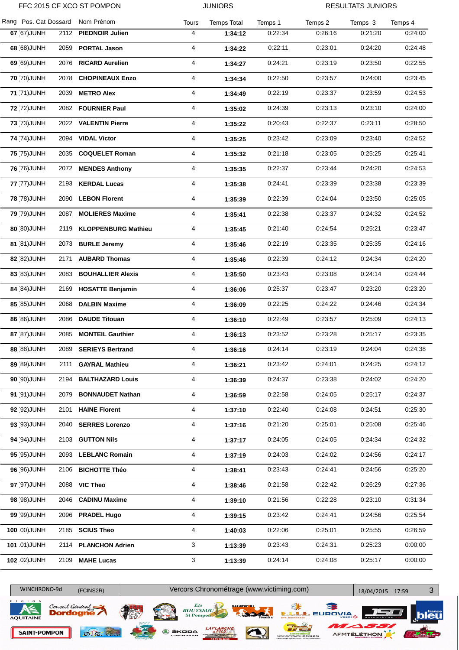FFC 2015 CF XCO ST POMPON **EXAMPLE THE STATE STATES IN THE STATE STATES** IN SECTION ASSESSMENT OF STATES AND THE STATES OF STATES AND RESULTATS JUNIORS

| Rang Pos. Cat Dossard |      | Nom Prénom                 | Tours | <b>Temps Total</b> | Temps 1 | Temps 2 | Temps 3 | Temps 4 |
|-----------------------|------|----------------------------|-------|--------------------|---------|---------|---------|---------|
| 67 (67) JUNH          | 2112 | <b>PIEDNOIR Julien</b>     | 4     | 1:34:12            | 0:22:34 | 0:26:16 | 0:21:20 | 0:24:00 |
| <b>HIUL(88)</b> 88    | 2059 | <b>PORTAL Jason</b>        | 4     | 1:34:22            | 0:22:11 | 0:23:01 | 0:24:20 | 0:24:48 |
| 69 (69) JUNH          | 2076 | <b>RICARD Aurelien</b>     | 4     | 1:34:27            | 0:24:21 | 0.23:19 | 0.23.50 | 0.22:55 |
| 70 [70] JUNH          | 2078 | <b>CHOPINEAUX Enzo</b>     | 4     | 1:34:34            | 0:22:50 | 0.23:57 | 0:24:00 | 0:23:45 |
| <b>71 71 JUNH</b>     | 2039 | <b>METRO Alex</b>          | 4     | 1:34:49            | 0:22:19 | 0:23:37 | 0:23:59 | 0:24:53 |
| <b>72 72 JUNH</b>     | 2082 | <b>FOURNIER Paul</b>       | 4     | 1:35:02            | 0:24:39 | 0:23:13 | 0:23:10 | 0:24:00 |
| 73 (73) JUNH          |      | 2022 VALENTIN Pierre       | 4     | 1:35:22            | 0:20:43 | 0:22:37 | 0:23:11 | 0:28:50 |
| 74 '74) JUNH          |      | 2094 VIDAL Victor          | 4     | 1:35:25            | 0:23:42 | 0:23:09 | 0:23:40 | 0:24:52 |
| <b>75 75 JUNH</b>     |      | 2035 COQUELET Roman        | 4     | 1:35:32            | 0:21:18 | 0:23:05 | 0.25:25 | 0:25:41 |
| 76 (76) JUNH          | 2072 | <b>MENDES Anthony</b>      | 4     | 1:35:35            | 0:22:37 | 0:23:44 | 0:24:20 | 0:24:53 |
| 77 (77)JUNH           | 2193 | <b>KERDAL Lucas</b>        | 4     | 1:35:38            | 0:24:41 | 0:23:39 | 0:23:38 | 0:23:39 |
| 78 [78) JUNH          | 2090 | <b>LEBON Florent</b>       | 4     | 1:35:39            | 0:22:39 | 0:24:04 | 0:23:50 | 0:25:05 |
| <b>79 79)JUNH</b>     | 2087 | <b>MOLIERES Maxime</b>     | 4     | 1:35:41            | 0:22:38 | 0:23:37 | 0:24:32 | 0:24:52 |
| <b>H/IUL(08) 08</b>   | 2119 | <b>KLOPPENBURG Mathieu</b> | 4     | 1:35:45            | 0:21:40 | 0:24:54 | 0:25:21 | 0:23:47 |
| 81 (81) JUNH          | 2073 | <b>BURLE Jeremy</b>        | 4     | 1:35:46            | 0:22:19 | 0:23:35 | 0:25:35 | 0:24:16 |
| 82 (82) JUNH          | 2171 | <b>AUBARD Thomas</b>       | 4     | 1:35:46            | 0:22:39 | 0.24:12 | 0:24:34 | 0:24:20 |
| 83 (83) JUNH          | 2083 | <b>BOUHALLIER Alexis</b>   | 4     | 1:35:50            | 0:23:43 | 0.23:08 | 0.24:14 | 0:24:44 |
| 84 (84) JUNH          | 2169 | <b>HOSATTE Benjamin</b>    | 4     | 1:36:06            | 0:25:37 | 0.23:47 | 0:23:20 | 0:23:20 |
| 85 (85) JUNH          | 2068 | <b>DALBIN Maxime</b>       | 4     | 1:36:09            | 0:22:25 | 0:24:22 | 0:24:46 | 0:24:34 |
| 86 (86) JUNH          | 2086 | <b>DAUDE Titouan</b>       | 4     | 1:36:10            | 0:22:49 | 0:23:57 | 0:25:09 | 0:24:13 |
| 87 (87) JUNH          | 2085 | <b>MONTEIL Gauthier</b>    | 4     | 1:36:13            | 0.23.52 | 0:23:28 | 0:25:17 | 0:23:35 |
| 88 (88) JUNH          | 2089 | <b>SERIEYS Bertrand</b>    | 4     | 1:36:16            | 0:24:14 | 0.23:19 | 0:24:04 | 0:24:38 |
| <b>89 (89) JUNH</b>   |      | 2111 GAYRAL Mathieu        | 4     | 1:36:21            | 0:23:42 | 0.24:01 | 0:24:25 | 0:24:12 |
| 90 (90) JUNH          | 2194 | <b>BALTHAZARD Louis</b>    | 4     | 1:36:39            | 0:24:37 | 0:23:38 | 0:24:02 | 0:24:20 |
| 91 (91) JUNH          | 2079 | <b>BONNAUDET Nathan</b>    | 4     | 1:36:59            | 0:22:58 | 0:24:05 | 0:25:17 | 0:24:37 |
| 92 (92) JUNH          | 2101 | <b>HAINE Florent</b>       | 4     | 1:37:10            | 0:22:40 | 0:24:08 | 0:24:51 | 0.25.30 |
| 93 (93) JUNH          | 2040 | <b>SERRES Lorenzo</b>      | 4     | 1:37:16            | 0:21:20 | 0:25:01 | 0:25:08 | 0:25:46 |
| 94 (94) JUNH          | 2103 | <b>GUTTON Nils</b>         | 4     | 1:37:17            | 0:24:05 | 0:24:05 | 0:24:34 | 0:24:32 |
| 95 (95) JUNH          | 2093 | <b>LEBLANC Romain</b>      | 4     | 1:37:19            | 0:24:03 | 0:24:02 | 0:24:56 | 0.24:17 |
| 96 (96) JUNH          | 2106 | <b>BICHOTTE Théo</b>       | 4     | 1:38:41            | 0:23:43 | 0.24:41 | 0:24:56 | 0:25:20 |
| 97 (97) JUNH          | 2088 | <b>VIC Theo</b>            | 4     | 1:38:46            | 0.21:58 | 0:22:42 | 0:26:29 | 0:27:36 |
| 98 (98) JUNH          | 2046 | <b>CADINU Maxime</b>       | 4     | 1:39:10            | 0:21:56 | 0:22:28 | 0.23:10 | 0:31:34 |
| 99 (99) JUNH          | 2096 | <b>PRADEL Hugo</b>         | 4     | 1:39:15            | 0:23:42 | 0:24:41 | 0:24:56 | 0:25:54 |
| 100 00) JUNH          | 2185 | <b>SCIUS Theo</b>          | 4     | 1:40:03            | 0:22:06 | 0.25:01 | 0.25.55 | 0.26.59 |
| <b>101 01) JUNH</b>   | 2114 | <b>PLANCHON Adrien</b>     | 3     | 1:13:39            | 0:23:43 | 0:24:31 | 0:25:23 | 0:00:00 |
| 102 02) JUNH          | 2109 | <b>MAHE Lucas</b>          | 3     | 1:13:39            | 0:24:14 | 0:24:08 | 0:25:17 | 0:00:00 |

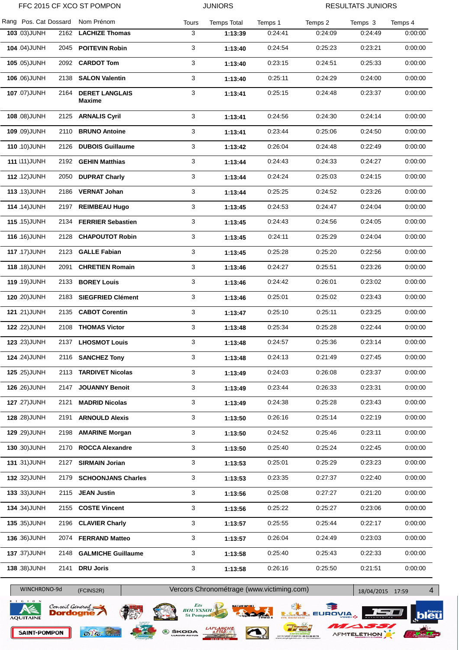FFC 2015 CF XCO ST POMPON **EXAMPLE THE STATE STATES IN THE STATE STATES** IN SECTION ASSESSMENT OF STATES AND THE STATES OF STATES AND RESULTATS JUNIORS

| Rang Pos. Cat Dossard |      | Nom Prénom                      | Tours | <b>Temps Total</b> | Temps 1 | Temps 2 | Temps 3 | Temps 4 |
|-----------------------|------|---------------------------------|-------|--------------------|---------|---------|---------|---------|
| 103 03) JUNH          | 2162 | <b>LACHIZE Thomas</b>           | 3     | 1:13:39            | 0:24:41 | 0:24:09 | 0:24:49 | 0:00:00 |
| 104 04) JUNH          |      | 2045 POITEVIN Robin             | 3     | 1:13:40            | 0:24:54 | 0:25:23 | 0:23:21 | 0:00:00 |
| <b>105 05)JUNH</b>    |      | 2092 CARDOT Tom                 | 3     | 1:13:40            | 0:23:15 | 0.24.51 | 0:25:33 | 0:00:00 |
| 106 06) JUNH          | 2138 | <b>SALON Valentin</b>           | 3     | 1:13:40            | 0:25:11 | 0:24:29 | 0:24:00 | 0:00:00 |
| <b>107 07) JUNH</b>   | 2164 | <b>DERET LANGLAIS</b><br>Maxime | 3     | 1:13:41            | 0.25:15 | 0:24:48 | 0:23:37 | 0:00:00 |
| 108 08) JUNH          |      | 2125 ARNALIS Cyril              | 3     | 1:13:41            | 0:24:56 | 0:24:30 | 0.24:14 | 0:00:00 |
| 109 09) JUNH          | 2110 | <b>BRUNO Antoine</b>            | 3     | 1:13:41            | 0:23:44 | 0:25:06 | 0:24:50 | 0:00:00 |
| <b>110 10)JUNH</b>    |      | 2126 DUBOIS Guillaume           | 3     | 1:13:42            | 0:26:04 | 0:24:48 | 0:22:49 | 0:00:00 |
| <b>111 111) JUNH</b>  |      | 2192 GEHIN Matthias             | 3     | 1:13:44            | 0:24:43 | 0:24:33 | 0:24:27 | 0:00:00 |
| 112 $ 12\rangle$ JUNH |      | 2050 DUPRAT Charly              | 3     | 1:13:44            | 0:24:24 | 0.25:03 | 0:24:15 | 0:00:00 |
| <b>113 13)JUNH</b>    |      | 2186 VERNAT Johan               | 3     | 1:13:44            | 0:25:25 | 0:24:52 | 0:23:26 | 0:00:00 |
| <b>114</b> 14) JUNH   | 2197 | <b>REIMBEAU Hugo</b>            | 3     | 1:13:45            | 0:24:53 | 0:24:47 | 0.24:04 | 0:00:00 |
| 115 15) JUNH          |      | 2134 FERRIER Sebastien          | 3     | 1:13:45            | 0:24:43 | 0:24:56 | 0:24:05 | 0:00:00 |
| <b>116 16 JUNH</b>    |      | 2128 CHAPOUTOT Robin            | 3     | 1:13:45            | 0:24:11 | 0:25:29 | 0:24:04 | 0:00:00 |
| <b>117 17) JUNH</b>   |      | 2123 GALLE Fabian               | 3     | 1:13:45            | 0:25:28 | 0.25:20 | 0:22:56 | 0:00:00 |
| 118 18) JUNH          | 2091 | <b>CHRETIEN Romain</b>          | 3     | 1:13:46            | 0:24:27 | 0:25:51 | 0:23:26 | 0:00:00 |
| 119 19) JUNH          |      | 2133 BOREY Louis                | 3     | 1:13:46            | 0:24:42 | 0:26:01 | 0:23:02 | 0:00:00 |
| <b>120 20) JUNH</b>   | 2183 | <b>SIEGFRIED Clément</b>        | 3     | 1:13:46            | 0:25:01 | 0:25:02 | 0:23:43 | 0:00:00 |
| <b>121 21) JUNH</b>   |      | 2135 CABOT Corentin             | 3     | 1:13:47            | 0:25:10 | 0:25:11 | 0:23:25 | 0:00:00 |
| <b>122 22) JUNH</b>   |      | 2108 THOMAS Victor              | 3     | 1:13:48            | 0:25:34 | 0:25:28 | 0:22:44 | 0:00:00 |
| <b>123 23) JUNH</b>   |      | 2137 LHOSMOT Louis              | 3     | 1:13:48            | 0:24:57 | 0.25:36 | 0.23:14 | 0:00:00 |
| <b>124 24) JUNH</b>   |      | 2116 SANCHEZ Tony               | 3     | 1:13:48            | 0:24:13 | 0.21:49 | 0:27:45 | 0:00:00 |
| <b>125 25) JUNH</b>   |      | 2113 TARDIVET Nicolas           | 3     | 1:13:49            | 0:24:03 | 0.26:08 | 0.23.37 | 0:00:00 |
| <b>126 26)JUNH</b>    | 2147 | <b>JOUANNY Benoit</b>           | 3     | 1:13:49            | 0:23:44 | 0:26:33 | 0:23:31 | 0:00:00 |
| <b>127 27) JUNH</b>   | 2121 | <b>MADRID Nicolas</b>           | 3     | 1:13:49            | 0:24:38 | 0.25.28 | 0.23.43 | 0:00:00 |
| <b>128 28) JUNH</b>   | 2191 | <b>ARNOULD Alexis</b>           | 3     | 1:13:50            | 0:26:16 | 0.25:14 | 0:22:19 | 0.00:00 |
| <b>129 29) JUNH</b>   |      | 2198 AMARINE Morgan             | 3     | 1:13:50            | 0:24:52 | 0.25:46 | 0:23:11 | 0:00:00 |
| 130 30) JUNH          |      | 2170 ROCCA Alexandre            | 3     | 1:13:50            | 0:25:40 | 0:25:24 | 0:22:45 | 0:00:00 |
| <b>131 31) JUNH</b>   | 2127 | <b>SIRMAIN Jorian</b>           | 3     | 1:13:53            | 0:25:01 | 0.25:29 | 0.23.23 | 0:00:00 |
| <b>132 32) JUNH</b>   | 2179 | <b>SCHOONJANS Charles</b>       | 3     | 1:13:53            | 0.23.35 | 0:27:37 | 0.22:40 | 0:00:00 |
| <b>133 33) JUNH</b>   |      | 2115 JEAN Justin                | 3     | 1:13:56            | 0:25:08 | 0.27:27 | 0.21:20 | 0.00:00 |
| <b>134 34) JUNH</b>   | 2155 | <b>COSTE Vincent</b>            | 3     | 1:13:56            | 0:25:22 | 0:25:27 | 0.23.06 | 0.00:00 |
| <b>135 35) JUNH</b>   |      | 2196 CLAVIER Charly             | 3     | 1:13:57            | 0:25:55 | 0.25:44 | 0.22:17 | 0:00:00 |
| 136 36) JUNH          |      | 2074 FERRAND Matteo             | 3     | 1:13:57            | 0:26:04 | 0:24:49 | 0.23:03 | 0.00:00 |
| <b>137 37) JUNH</b>   |      | 2148 GALMICHE Guillaume         | 3     | 1:13:58            | 0:25:40 | 0.25:43 | 0.22.33 | 0:00:00 |
| <b>138 38) JUNH</b>   | 2141 | <b>DRU Joris</b>                | 3     | 1:13:58            | 0:26:16 | 0.25:50 | 0:21:51 | 0:00:00 |
|                       |      |                                 |       |                    |         |         |         |         |

€

SAINT-POMPON

**AQUITAINE** 

Conseil Général

 $\Omega$ 

WINCHRONO-9d (FCINS2R) Vercors Chronométrage (www.victiming.com) 18/04/2015 17:59 4

Ets<br>BOUYSSOU<br>St Pompon

**SKODA** 

LAI

AFMTELETHON

**E.C.C.E. EUROVIA** 

**Marc** 

Earnping<br>24170 SAINT-POMPON<br>www.amphigleticl.com - us-Bitulwanasor

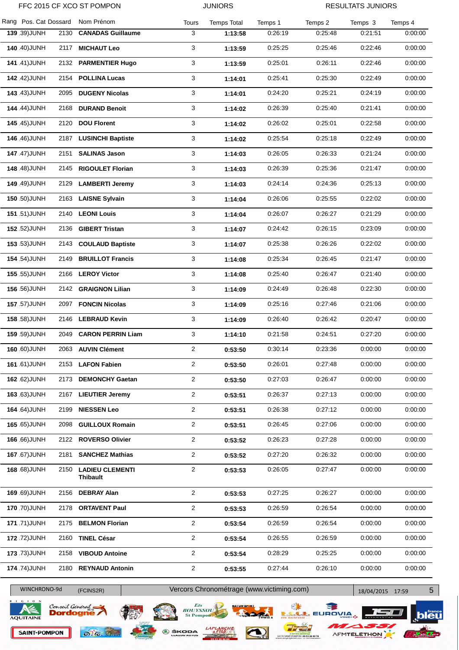FFC 2015 CF XCO ST POMPON **EXAMPLE THE STATE STATES IN THE STATE STATES** IN SECTION ASSESSMENT OF STATES AND THE STATES OF STATES AND RESULTATS JUNIORS

|                                                                        | Rang Pos. Cat Dossard |      | Nom Prénom                         | <b>Tours</b>   | <b>Temps Total</b> | Temps 1 | Temps 2          | Temps 3        | Temps 4 |
|------------------------------------------------------------------------|-----------------------|------|------------------------------------|----------------|--------------------|---------|------------------|----------------|---------|
|                                                                        | 139 39) JUNH          | 2130 | <b>CANADAS Guillaume</b>           | 3              | 1:13:58            | 0:26:19 | 0.25:48          | 0:21:51        | 0:00:00 |
|                                                                        | 140 40) JUNH          | 2117 | <b>MICHAUT Leo</b>                 | 3              | 1:13:59            | 0:25:25 | 0.25:46          | 0.22:46        | 0:00:00 |
|                                                                        | <b>141 41) JUNH</b>   | 2132 | <b>PARMENTIER Hugo</b>             | 3              | 1:13:59            | 0:25:01 | 0:26:11          | 0:22:46        | 0:00:00 |
|                                                                        | <b>142 42) JUNH</b>   | 2154 | <b>POLLINA Lucas</b>               | 3              | 1:14:01            | 0:25:41 | 0.25:30          | 0.22:49        | 0:00:00 |
|                                                                        | <b>143 43) JUNH</b>   | 2095 | <b>DUGENY Nicolas</b>              | 3              | 1:14:01            | 0:24:20 | 0:25:21          | 0:24:19        | 0:00:00 |
|                                                                        | <b>144 44) JUNH</b>   | 2168 | <b>DURAND Benoit</b>               | 3              | 1:14:02            | 0:26:39 | 0.25:40          | 0.21:41        | 0:00:00 |
|                                                                        | <b>145 45) JUNH</b>   | 2120 | <b>DOU Florent</b>                 | 3              | 1:14:02            | 0:26:02 | 0.25:01          | 0.22:58        | 0:00:00 |
|                                                                        | 146 46) JUNH          | 2187 | <b>LUSINCHI Baptiste</b>           | 3              | 1:14:02            | 0:25:54 | 0:25:18          | 0:22:49        | 0:00:00 |
|                                                                        | <b>147 47) JUNH</b>   | 2151 | <b>SALINAS Jason</b>               | 3              | 1:14:03            | 0:26:05 | 0.26:33          | 0:21:24        | 0:00:00 |
|                                                                        | <b>148 48)JUNH</b>    | 2145 | <b>RIGOULET Florian</b>            | 3              | 1:14:03            | 0:26:39 | 0.25:36          | 0.21:47        | 0:00:00 |
|                                                                        | <b>149 49)JUNH</b>    | 2129 | <b>LAMBERTI Jeremy</b>             | 3              | 1:14:03            | 0:24:14 | 0.24:36          | 0.25:13        | 0:00:00 |
|                                                                        | 150 50) JUNH          | 2163 | <b>LAISNE Sylvain</b>              | 3              | 1:14:04            | 0:26:06 | 0.25:55          | 0:22:02        | 0:00:00 |
|                                                                        | <b>151 51) JUNH</b>   | 2140 | <b>LEONI Louis</b>                 | 3              | 1:14:04            | 0:26:07 | 0.26:27          | 0:21:29        | 0:00:00 |
|                                                                        | 152 52) JUNH          | 2136 | <b>GIBERT Tristan</b>              | 3              | 1:14:07            | 0:24:42 | 0.26:15          | 0:23:09        | 0:00:00 |
|                                                                        | 153 53) JUNH          | 2143 | <b>COULAUD Baptiste</b>            | 3              | 1:14:07            | 0:25:38 | 0.26:26          | 0:22:02        | 0:00:00 |
|                                                                        | <b>154 54) JUNH</b>   | 2149 | <b>BRUILLOT Francis</b>            | 3              | 1:14:08            | 0.25:34 | 0.26:45          | 0.21:47        | 0:00:00 |
|                                                                        | <b>155 55) JUNH</b>   | 2166 | <b>LEROY Victor</b>                | 3              | 1:14:08            | 0:25:40 | 0.26:47          | 0.21:40        | 0:00:00 |
|                                                                        | 156 56) JUNH          | 2142 | <b>GRAIGNON Lilian</b>             | 3              | 1:14:09            | 0:24:49 | 0:26:48          | 0:22:30        | 0:00:00 |
|                                                                        | <b>157 57) JUNH</b>   | 2097 | <b>FONCIN Nicolas</b>              | 3              | 1:14:09            | 0.25:16 | 0.27:46          | 0:21:06        | 0:00:00 |
|                                                                        | 158 58) JUNH          | 2146 | <b>LEBRAUD Kevin</b>               | 3              | 1:14:09            | 0:26:40 | 0:26:42          | 0.20:47        | 0:00:00 |
|                                                                        | <b>159 59)JUNH</b>    | 2049 | <b>CARON PERRIN Liam</b>           | 3              | 1:14:10            | 0:21:58 | 0.24:51          | 0.27:20        | 0:00:00 |
|                                                                        | 160 60) JUNH          |      | 2063 AUVIN Clément                 | 2              | 0:53:50            | 0:30:14 | 0.23:36          | 0:00:00        | 0:00:00 |
|                                                                        | 161 61) JUNH          |      | 2153 LAFON Fabien                  | $\overline{2}$ | 0:53:50            | 0:26:01 | 0.27:48          | 0:00:00        | 0:00:00 |
|                                                                        | 162 62) JUNH          | 2173 | <b>DEMONCHY Gaetan</b>             | $\overline{2}$ | 0:53:50            | 0:27:03 | 0.26.47          | 0:00:00        | 0:00:00 |
|                                                                        | 163 63) JUNH          |      | 2167 LIEUTIER Jeremy               | $\overline{2}$ | 0:53:51            | 0.26.37 | 0.27:13          | 0:00:00        | 0:00:00 |
|                                                                        | 164 64) JUNH          | 2199 | <b>NIESSEN Leo</b>                 | 2              | 0:53:51            | 0:26:38 | 0:27:12          | 0:00:00        | 0:00:00 |
|                                                                        | 165 65) JUNH          | 2098 | <b>GUILLOUX Romain</b>             | 2              | 0:53:51            | 0:26:45 | 0:27:06          | 0:00:00        | 0.00:00 |
|                                                                        | 166 66) JUNH          |      | 2122 ROVERSO Olivier               | $\overline{2}$ | 0:53:52            | 0:26:23 | 0.27:28          | 0:00:00        | 0.00:00 |
|                                                                        | <b>167 67)JUNH</b>    | 2181 | <b>SANCHEZ Mathias</b>             | $\overline{2}$ | 0:53:52            | 0.27:20 | 0.26:32          | 0:00:00        | 0:00:00 |
|                                                                        | 168 68) JUNH          | 2150 | <b>LADIEU CLEMENTI</b><br>Thibault | $\overline{2}$ | 0:53:53            | 0.26:05 | 0.27:47          | 0:00:00        | 0.00:00 |
|                                                                        | 169 69) JUNH          | 2156 | <b>DEBRAY Alan</b>                 | $\overline{2}$ | 0:53:53            | 0.27:25 | 0:26:27          | 0:00:00        | 0:00:00 |
|                                                                        | 170 70) JUNH          | 2178 | <b>ORTAVENT Paul</b>               | 2              | 0:53:53            | 0:26:59 | 0:26:54          | 0:00:00        | 0:00:00 |
|                                                                        | <b>171 71) JUNH</b>   | 2175 | <b>BELMON Florian</b>              | $\overline{2}$ | 0:53:54            | 0:26:59 | 0.26:54          | 0:00:00        | 0.00:00 |
|                                                                        | <b>172 72) JUNH</b>   | 2160 | <b>TINEL César</b>                 | $\overline{2}$ | 0:53:54            | 0:26:55 | 0.26:59          | 0:00:00        | 0.00:00 |
|                                                                        | <b>173 73) JUNH</b>   | 2158 | <b>VIBOUD Antoine</b>              | 2              | 0:53:54            | 0:28:29 | 0.25:25          | 0:00:00        | 0:00:00 |
|                                                                        | <b>174 74) JUNH</b>   | 2180 | <b>REYNAUD Antonin</b>             | 2              | 0:53:55            | 0:27:44 | 0.26:10          | 0:00:00        | 0:00:00 |
| Vercors Chronométrage (www.victiming.com)<br>WINCHRONO-9d<br>(FCINS2R) |                       |      |                                    |                |                    |         | 18/04/2015 17:59 | 5 <sup>5</sup> |         |

Ets<br>BOUYSSOU<br>St Pompon

**SKODA** 

LAI

€

SAINT-POMPON

**AQUITAINE** 

Conseil Général

 $\Omega$ 

**bleu** 



**Marc** 

**Caravaning**<br>24170 SAINT-POMPON - 05 53 28 43 78